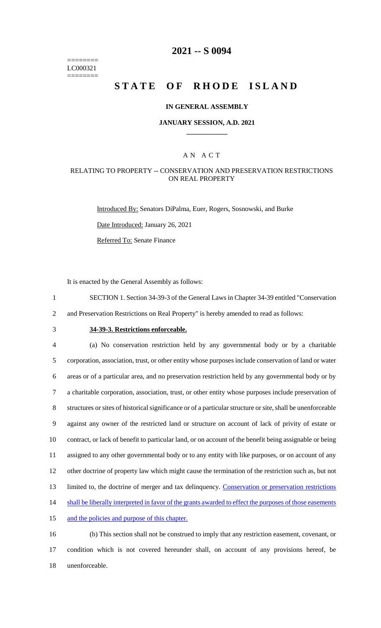======== LC000321 ========

## **2021 -- S 0094**

# **STATE OF RHODE ISLAND**

#### **IN GENERAL ASSEMBLY**

#### **JANUARY SESSION, A.D. 2021 \_\_\_\_\_\_\_\_\_\_\_\_**

### A N A C T

### RELATING TO PROPERTY -- CONSERVATION AND PRESERVATION RESTRICTIONS ON REAL PROPERTY

Introduced By: Senators DiPalma, Euer, Rogers, Sosnowski, and Burke

Date Introduced: January 26, 2021

Referred To: Senate Finance

It is enacted by the General Assembly as follows:

- 1 SECTION 1. Section 34-39-3 of the General Laws in Chapter 34-39 entitled "Conservation
- 2 and Preservation Restrictions on Real Property" is hereby amended to read as follows:
- 

# 3 **34-39-3. Restrictions enforceable.**

 (a) No conservation restriction held by any governmental body or by a charitable corporation, association, trust, or other entity whose purposes include conservation of land or water areas or of a particular area, and no preservation restriction held by any governmental body or by a charitable corporation, association, trust, or other entity whose purposes include preservation of structures or sites of historical significance or of a particular structure or site, shall be unenforceable against any owner of the restricted land or structure on account of lack of privity of estate or contract, or lack of benefit to particular land, or on account of the benefit being assignable or being assigned to any other governmental body or to any entity with like purposes, or on account of any other doctrine of property law which might cause the termination of the restriction such as, but not 13 limited to, the doctrine of merger and tax delinquency. Conservation or preservation restrictions 14 shall be liberally interpreted in favor of the grants awarded to effect the purposes of those easements and the policies and purpose of this chapter.

16 (b) This section shall not be construed to imply that any restriction easement, covenant, or 17 condition which is not covered hereunder shall, on account of any provisions hereof, be 18 unenforceable.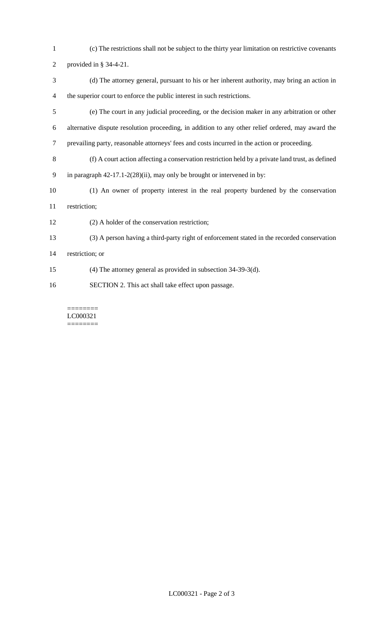- (c) The restrictions shall not be subject to the thirty year limitation on restrictive covenants
- provided in § 34-4-21.
- (d) The attorney general, pursuant to his or her inherent authority, may bring an action in the superior court to enforce the public interest in such restrictions.
- (e) The court in any judicial proceeding, or the decision maker in any arbitration or other alternative dispute resolution proceeding, in addition to any other relief ordered, may award the prevailing party, reasonable attorneys' fees and costs incurred in the action or proceeding.
- (f) A court action affecting a conservation restriction held by a private land trust, as defined in paragraph 42-17.1-2(28)(ii), may only be brought or intervened in by:
- (1) An owner of property interest in the real property burdened by the conservation restriction;
- (2) A holder of the conservation restriction;
- (3) A person having a third-party right of enforcement stated in the recorded conservation
- restriction; or
- (4) The attorney general as provided in subsection 34-39-3(d).
- SECTION 2. This act shall take effect upon passage.

======== LC000321 ========